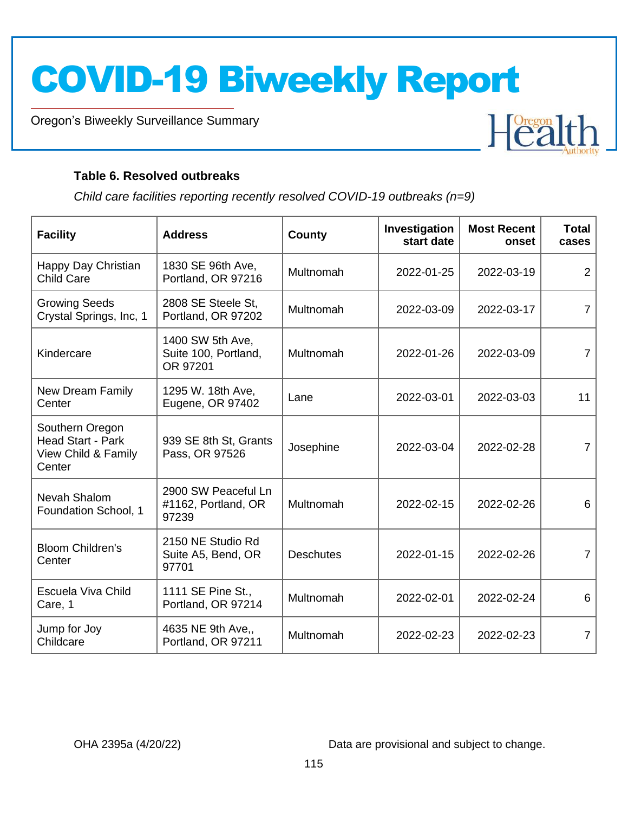Oregon's Biweekly Surveillance Summary

Novel Coronavirus (COVID-19)

#### **Table 6. Resolved outbreaks**

*Child care facilities reporting recently resolved COVID-19 outbreaks (n=9)*

| <b>Facility</b>                                                       | <b>Address</b>                                       | <b>County</b>    | Investigation<br>start date | <b>Most Recent</b><br>onset | <b>Total</b><br>cases |
|-----------------------------------------------------------------------|------------------------------------------------------|------------------|-----------------------------|-----------------------------|-----------------------|
| Happy Day Christian<br><b>Child Care</b>                              | 1830 SE 96th Ave,<br>Portland, OR 97216              | Multnomah        | 2022-01-25                  | 2022-03-19                  | $\overline{2}$        |
| <b>Growing Seeds</b><br>Crystal Springs, Inc, 1                       | 2808 SE Steele St,<br>Portland, OR 97202             | Multnomah        | 2022-03-09                  | 2022-03-17                  | $\overline{7}$        |
| Kindercare                                                            | 1400 SW 5th Ave,<br>Suite 100, Portland,<br>OR 97201 | Multnomah        | 2022-01-26                  | 2022-03-09                  | $\overline{7}$        |
| New Dream Family<br>Center                                            | 1295 W. 18th Ave,<br>Eugene, OR 97402                | Lane             | 2022-03-01                  | 2022-03-03                  | 11                    |
| Southern Oregon<br>Head Start - Park<br>View Child & Family<br>Center | 939 SE 8th St, Grants<br>Pass, OR 97526              | Josephine        | 2022-03-04                  | 2022-02-28                  | $\overline{7}$        |
| Nevah Shalom<br>Foundation School, 1                                  | 2900 SW Peaceful Ln<br>#1162, Portland, OR<br>97239  | Multnomah        | 2022-02-15                  | 2022-02-26                  | 6                     |
| <b>Bloom Children's</b><br>Center                                     | 2150 NE Studio Rd<br>Suite A5, Bend, OR<br>97701     | <b>Deschutes</b> | 2022-01-15                  | 2022-02-26                  | $\overline{7}$        |
| Escuela Viva Child<br>Care, 1                                         | 1111 SE Pine St.,<br>Portland, OR 97214              | Multnomah        | 2022-02-01                  | 2022-02-24                  | 6                     |
| Jump for Joy<br>Childcare                                             | 4635 NE 9th Ave,,<br>Portland, OR 97211              | Multnomah        | 2022-02-23                  | 2022-02-23                  | $\overline{7}$        |

OHA 2395a (4/20/22) Data are provisional and subject to change.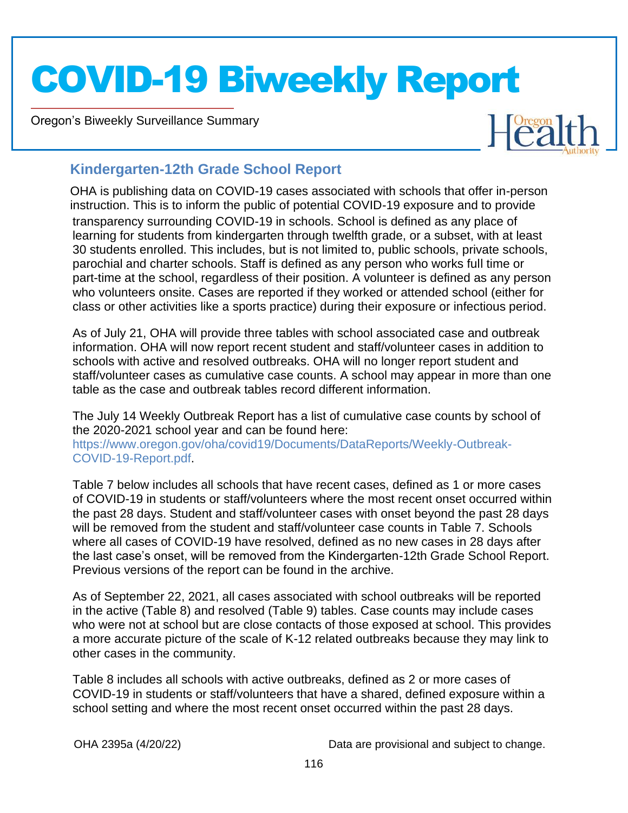Oregon's Biweekly Surveillance Summary

Novel Coronavirus (COVID-19)



### **Kindergarten-12th Grade School Report**

transparency surrounding COVID-19 in schools. School is defined as any place of learning for students from kindergarten through twelfth grade, or a subset, with at least 30 students enrolled. This includes, but is not limited to, public schools, private schools, parochial and charter schools. Staff is defined as any person who works full time or part-time at the school, regardless of their position. A volunteer is defined as any person who volunteers onsite. Cases are reported if they worked or attended school (either for class or other activities like a sports practice) during their exposure or infectious period. OHA is publishing data on COVID-19 cases associated with schools that offer in-person instruction. This is to inform the public of potential COVID-19 exposure and to provide

As of July 21, OHA will provide three tables with school associated case and outbreak information. OHA will now report recent student and staff/volunteer cases in addition to schools with active and resolved outbreaks. OHA will no longer report student and staff/volunteer cases as cumulative case counts. A school may appear in more than one [table as the case and outbreak tables record different information.](https://www.oregon.gov/oha/covid19/Documents/DataReports/Weekly-Outbreak-COVID-19-Report.pdf) 

[The July 14 Weekly Ou](https://www.oregon.gov/oha/covid19/Documents/DataReports/Weekly-Outbreak-COVID-19-Report.pdf)tbreak Report has a list of cumulative case counts by school of the 2020-2021 school year and can be found here:

https://www.oregon.gov/oha/covid19/Documents/DataReports/Weekly-Outbreak-COVID-19-Report.pdf.

Table 7 below includes all schools that have recent cases, defined as 1 or more cases of COVID-19 in students or staff/volunteers where the most recent onset occurred within the past 28 days. Student and staff/volunteer cases with onset beyond the past 28 days will be removed from the student and staff/volunteer case counts in Table 7. Schools where all cases of COVID-19 have resolved, defined as no new cases in 28 days after the last case's onset, will be removed from the Kindergarten-12th Grade School Report. Previous versions of the report can be found in the archive.

As of September 22, 2021, all cases associated with school outbreaks will be reported in the active (Table 8) and resolved (Table 9) tables. Case counts may include cases who were not at school but are close contacts of those exposed at school. This provides a more accurate picture of the scale of K-12 related outbreaks because they may link to other cases in the community.

Table 8 includes all schools with active outbreaks, defined as 2 or more cases of COVID-19 in students or staff/volunteers that have a shared, defined exposure within a school setting and where the most recent onset occurred within the past 28 days.

OHA 2395a (4/20/22) Data are provisional and subject to change.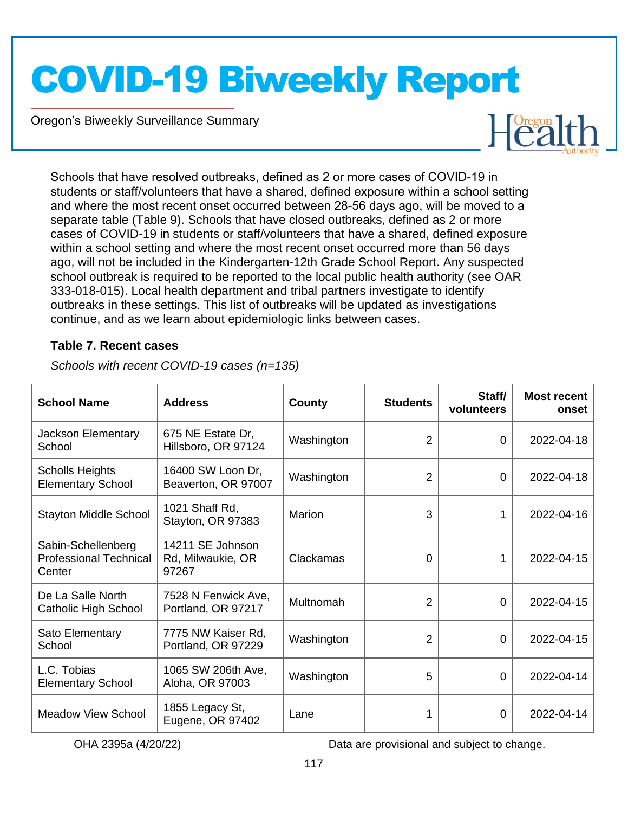Oregon's Biweekly Surveillance Summary

Novel Coronavirus (COVID-19)



Schools that have resolved outbreaks, defined as 2 or more cases of COVID-19 in students or staff/volunteers that have a shared, defined exposure within a school setting and where the most recent onset occurred between 28-56 days ago, will be moved to a separate table (Table 9). Schools that have closed outbreaks, defined as 2 or more cases of COVID-19 in students or staff/volunteers that have a shared, defined exposure within a school setting and where the most recent onset occurred more than 56 days ago, will not be included in the Kindergarten-12th Grade School Report. Any suspected school outbreak is required to be reported to the local public health authority (see OAR 333-018-015). Local health department and tribal partners investigate to identify outbreaks in these settings. This list of outbreaks will be updated as investigations continue, and as we learn about epidemiologic links between cases.

#### **Table 7. Recent cases**

| <b>School Name</b>                                            | <b>Address</b>                                 | County     | <b>Students</b> | Staff/<br>volunteers | <b>Most recent</b><br>onset |
|---------------------------------------------------------------|------------------------------------------------|------------|-----------------|----------------------|-----------------------------|
| <b>Jackson Elementary</b><br>School                           | 675 NE Estate Dr.<br>Hillsboro, OR 97124       | Washington | $\overline{2}$  | $\Omega$             | 2022-04-18                  |
| <b>Scholls Heights</b><br><b>Elementary School</b>            | 16400 SW Loon Dr,<br>Beaverton, OR 97007       | Washington | $\overline{2}$  | 0                    | 2022-04-18                  |
| <b>Stayton Middle School</b>                                  | 1021 Shaff Rd,<br>Stayton, OR 97383            | Marion     | 3               | 1                    | 2022-04-16                  |
| Sabin-Schellenberg<br><b>Professional Technical</b><br>Center | 14211 SE Johnson<br>Rd, Milwaukie, OR<br>97267 | Clackamas  | 0               |                      | 2022-04-15                  |
| De La Salle North<br>Catholic High School                     | 7528 N Fenwick Ave,<br>Portland, OR 97217      | Multnomah  | 2               | $\mathbf 0$          | 2022-04-15                  |
| Sato Elementary<br>School                                     | 7775 NW Kaiser Rd,<br>Portland, OR 97229       | Washington | 2               | $\Omega$             | 2022-04-15                  |
| L.C. Tobias<br><b>Elementary School</b>                       | 1065 SW 206th Ave,<br>Aloha, OR 97003          | Washington | 5               | $\Omega$             | 2022-04-14                  |
| <b>Meadow View School</b>                                     | 1855 Legacy St,<br>Eugene, OR 97402            | Lane       | 1               | 0                    | 2022-04-14                  |

*Schools with recent COVID-19 cases (n=135)*

OHA 2395a (4/20/22) Data are provisional and subject to change.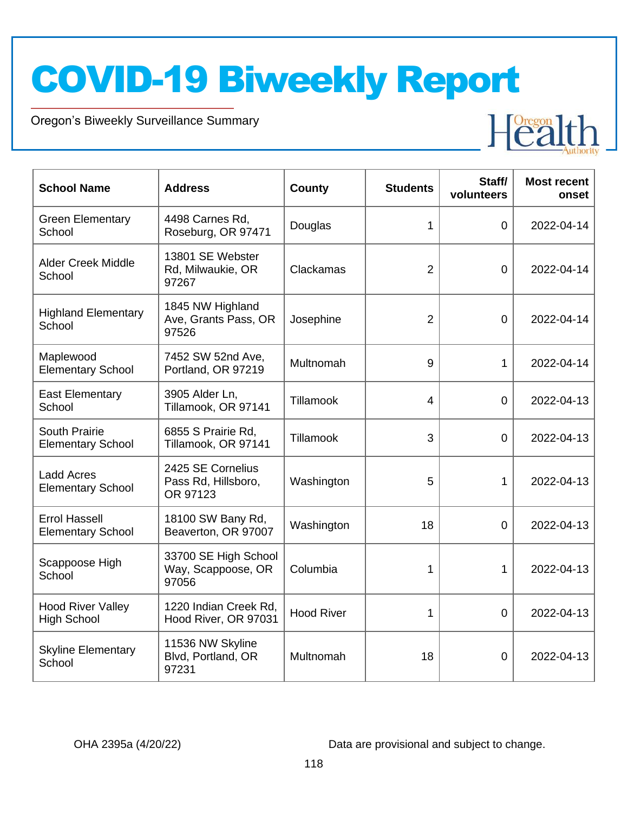Oregon's Biweekly Surveillance Summary

Novel Coronavirus (COVID-19)

| <b>School Name</b>                               | <b>Address</b>                                       | <b>County</b>     | <b>Students</b> | Staff/<br>volunteers | <b>Most recent</b><br>onset |
|--------------------------------------------------|------------------------------------------------------|-------------------|-----------------|----------------------|-----------------------------|
| <b>Green Elementary</b><br>School                | 4498 Carnes Rd,<br>Roseburg, OR 97471                | Douglas           | 1               | $\overline{0}$       | 2022-04-14                  |
| <b>Alder Creek Middle</b><br>School              | 13801 SE Webster<br>Rd, Milwaukie, OR<br>97267       | Clackamas         | $\overline{2}$  | $\overline{0}$       | 2022-04-14                  |
| <b>Highland Elementary</b><br>School             | 1845 NW Highland<br>Ave, Grants Pass, OR<br>97526    | Josephine         | 2               | $\overline{0}$       | 2022-04-14                  |
| Maplewood<br><b>Elementary School</b>            | 7452 SW 52nd Ave,<br>Portland, OR 97219              | Multnomah         | 9               | 1                    | 2022-04-14                  |
| <b>East Elementary</b><br>School                 | 3905 Alder Ln,<br>Tillamook, OR 97141                | Tillamook         | 4               | 0                    | 2022-04-13                  |
| South Prairie<br><b>Elementary School</b>        | 6855 S Prairie Rd,<br>Tillamook, OR 97141            | Tillamook         | 3               | $\overline{0}$       | 2022-04-13                  |
| <b>Ladd Acres</b><br><b>Elementary School</b>    | 2425 SE Cornelius<br>Pass Rd, Hillsboro,<br>OR 97123 | Washington        | 5               | 1                    | 2022-04-13                  |
| <b>Errol Hassell</b><br><b>Elementary School</b> | 18100 SW Bany Rd,<br>Beaverton, OR 97007             | Washington        | 18              | $\overline{0}$       | 2022-04-13                  |
| Scappoose High<br>School                         | 33700 SE High School<br>Way, Scappoose, OR<br>97056  | Columbia          | 1               | 1                    | 2022-04-13                  |
| <b>Hood River Valley</b><br><b>High School</b>   | 1220 Indian Creek Rd,<br>Hood River, OR 97031        | <b>Hood River</b> | 1               | 0                    | 2022-04-13                  |
| <b>Skyline Elementary</b><br>School              | 11536 NW Skyline<br>Blvd, Portland, OR<br>97231      | Multnomah         | 18              | 0                    | 2022-04-13                  |

OHA 2395a (4/20/22) Data are provisional and subject to change.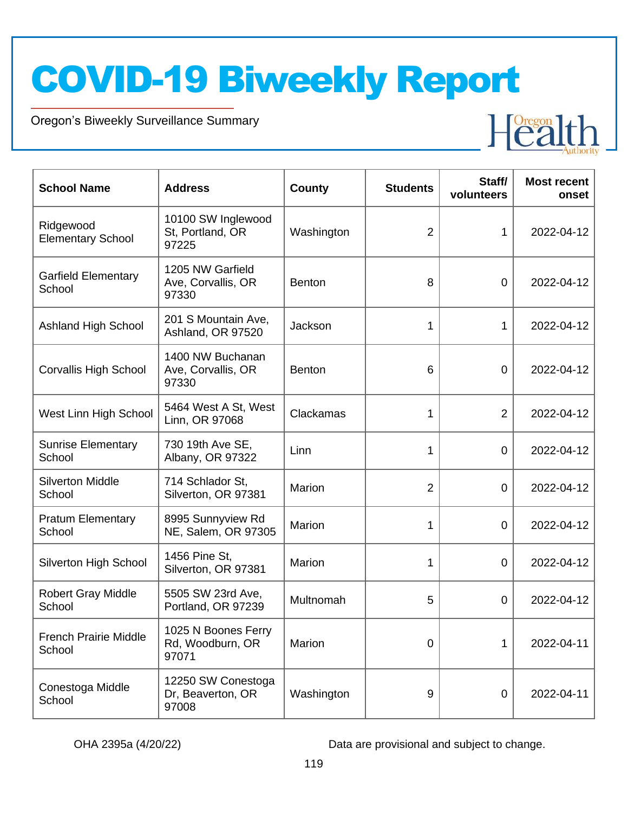Oregon's Biweekly Surveillance Summary

Novel Coronavirus (COVID-19)

| <b>School Name</b>                     | <b>Address</b>                                   | <b>County</b> | <b>Students</b> | Staff/<br>volunteers | <b>Most recent</b><br>onset |
|----------------------------------------|--------------------------------------------------|---------------|-----------------|----------------------|-----------------------------|
| Ridgewood<br><b>Elementary School</b>  | 10100 SW Inglewood<br>St, Portland, OR<br>97225  | Washington    | $\overline{2}$  | 1                    | 2022-04-12                  |
| <b>Garfield Elementary</b><br>School   | 1205 NW Garfield<br>Ave, Corvallis, OR<br>97330  | <b>Benton</b> | 8               | 0                    | 2022-04-12                  |
| <b>Ashland High School</b>             | 201 S Mountain Ave,<br>Ashland, OR 97520         | Jackson       | 1               | 1                    | 2022-04-12                  |
| <b>Corvallis High School</b>           | 1400 NW Buchanan<br>Ave, Corvallis, OR<br>97330  | <b>Benton</b> | 6               | 0                    | 2022-04-12                  |
| West Linn High School                  | 5464 West A St, West<br>Linn, OR 97068           | Clackamas     | 1               | $\overline{2}$       | 2022-04-12                  |
| <b>Sunrise Elementary</b><br>School    | 730 19th Ave SE,<br>Albany, OR 97322             | Linn          | 1               | 0                    | 2022-04-12                  |
| <b>Silverton Middle</b><br>School      | 714 Schlador St,<br>Silverton, OR 97381          | Marion        | $\overline{2}$  | 0                    | 2022-04-12                  |
| <b>Pratum Elementary</b><br>School     | 8995 Sunnyview Rd<br>NE, Salem, OR 97305         | Marion        | 1               | 0                    | 2022-04-12                  |
| <b>Silverton High School</b>           | 1456 Pine St,<br>Silverton, OR 97381             | <b>Marion</b> | 1               | 0                    | 2022-04-12                  |
| <b>Robert Gray Middle</b><br>School    | 5505 SW 23rd Ave,<br>Portland, OR 97239          | Multnomah     | 5               | 0                    | 2022-04-12                  |
| <b>French Prairie Middle</b><br>School | 1025 N Boones Ferry<br>Rd, Woodburn, OR<br>97071 | Marion        | 0               | 1                    | 2022-04-11                  |
| Conestoga Middle<br>School             | 12250 SW Conestoga<br>Dr, Beaverton, OR<br>97008 | Washington    | 9               | 0                    | 2022-04-11                  |

OHA 2395a (4/20/22) Data are provisional and subject to change.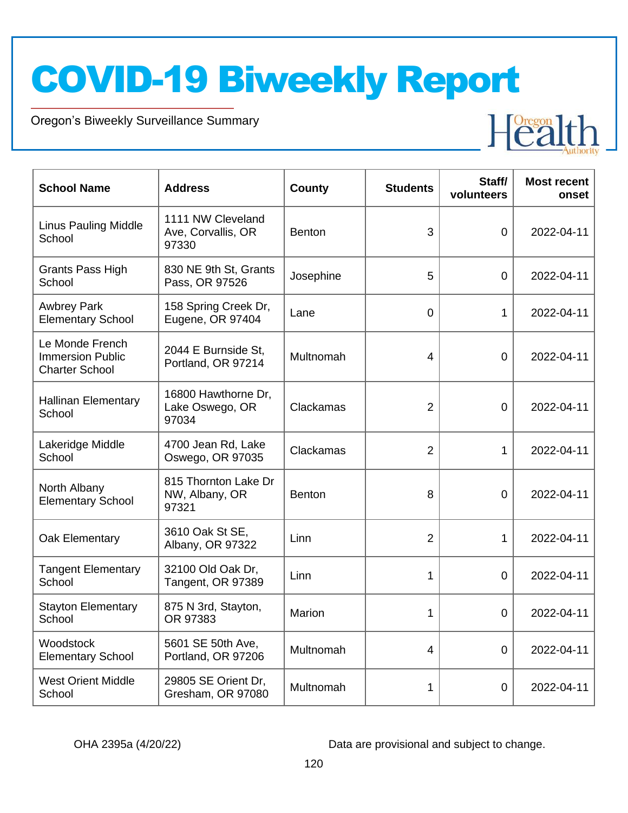Oregon's Biweekly Surveillance Summary

Novel Coronavirus (COVID-19)

| <b>School Name</b>                                                  | <b>Address</b>                                   | <b>County</b> | <b>Students</b> | Staff/<br>volunteers | <b>Most recent</b><br>onset |
|---------------------------------------------------------------------|--------------------------------------------------|---------------|-----------------|----------------------|-----------------------------|
| <b>Linus Pauling Middle</b><br>School                               | 1111 NW Cleveland<br>Ave, Corvallis, OR<br>97330 | <b>Benton</b> | 3               | $\overline{0}$       | 2022-04-11                  |
| Grants Pass High<br>School                                          | 830 NE 9th St, Grants<br>Pass, OR 97526          | Josephine     | 5               | $\Omega$             | 2022-04-11                  |
| <b>Awbrey Park</b><br><b>Elementary School</b>                      | 158 Spring Creek Dr,<br>Eugene, OR 97404         | Lane          | $\mathbf 0$     | 1                    | 2022-04-11                  |
| Le Monde French<br><b>Immersion Public</b><br><b>Charter School</b> | 2044 E Burnside St,<br>Portland, OR 97214        | Multnomah     | $\overline{4}$  | 0                    | 2022-04-11                  |
| <b>Hallinan Elementary</b><br>School                                | 16800 Hawthorne Dr,<br>Lake Oswego, OR<br>97034  | Clackamas     | $\overline{2}$  | $\mathbf 0$          | 2022-04-11                  |
| Lakeridge Middle<br>School                                          | 4700 Jean Rd, Lake<br>Oswego, OR 97035           | Clackamas     | $\overline{2}$  | 1                    | 2022-04-11                  |
| North Albany<br><b>Elementary School</b>                            | 815 Thornton Lake Dr<br>NW, Albany, OR<br>97321  | <b>Benton</b> | 8               | $\mathbf 0$          | 2022-04-11                  |
| Oak Elementary                                                      | 3610 Oak St SE,<br>Albany, OR 97322              | Linn          | $\overline{2}$  | 1                    | 2022-04-11                  |
| <b>Tangent Elementary</b><br>School                                 | 32100 Old Oak Dr,<br>Tangent, OR 97389           | Linn          | 1               | $\Omega$             | 2022-04-11                  |
| <b>Stayton Elementary</b><br>School                                 | 875 N 3rd, Stayton,<br>OR 97383                  | <b>Marion</b> | 1               | $\overline{0}$       | 2022-04-11                  |
| Woodstock<br><b>Elementary School</b>                               | 5601 SE 50th Ave,<br>Portland, OR 97206          | Multnomah     | $\overline{4}$  | 0                    | 2022-04-11                  |
| <b>West Orient Middle</b><br>School                                 | 29805 SE Orient Dr,<br>Gresham, OR 97080         | Multnomah     | 1               | $\mathbf 0$          | 2022-04-11                  |

OHA 2395a (4/20/22) Data are provisional and subject to change.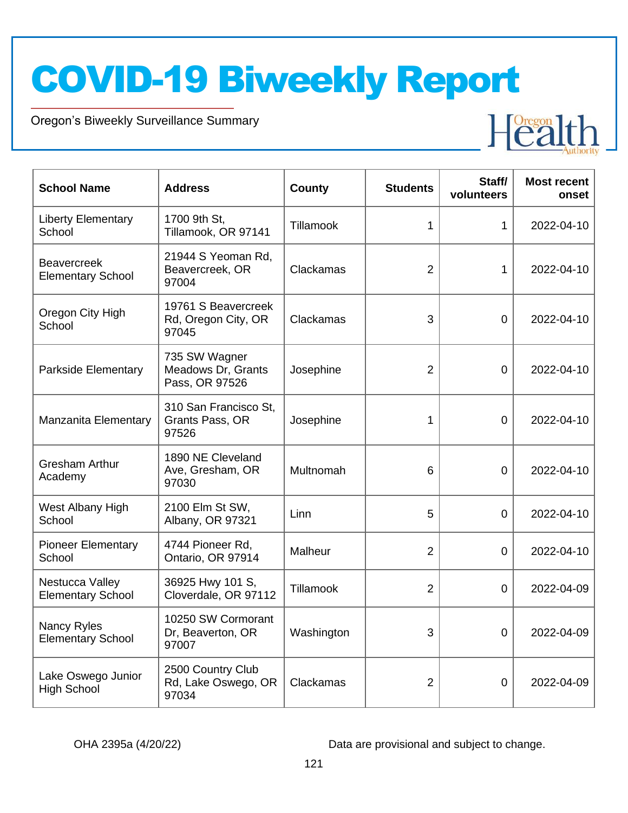Oregon's Biweekly Surveillance Summary

Novel Coronavirus (COVID-19)

| <b>School Name</b>                             | <b>Address</b>                                        | <b>County</b> | <b>Students</b> | Staff/<br>volunteers | <b>Most recent</b><br>onset |
|------------------------------------------------|-------------------------------------------------------|---------------|-----------------|----------------------|-----------------------------|
| <b>Liberty Elementary</b><br>School            | 1700 9th St,<br>Tillamook, OR 97141                   | Tillamook     | 1               | 1                    | 2022-04-10                  |
| <b>Beavercreek</b><br><b>Elementary School</b> | 21944 S Yeoman Rd,<br>Beavercreek, OR<br>97004        | Clackamas     | $\overline{2}$  | 1                    | 2022-04-10                  |
| Oregon City High<br>School                     | 19761 S Beavercreek<br>Rd, Oregon City, OR<br>97045   | Clackamas     | 3               | $\Omega$             | 2022-04-10                  |
| Parkside Elementary                            | 735 SW Wagner<br>Meadows Dr, Grants<br>Pass, OR 97526 | Josephine     | $\overline{2}$  | $\overline{0}$       | 2022-04-10                  |
| Manzanita Elementary                           | 310 San Francisco St.<br>Grants Pass, OR<br>97526     | Josephine     | 1               | $\overline{0}$       | 2022-04-10                  |
| <b>Gresham Arthur</b><br>Academy               | 1890 NE Cleveland<br>Ave, Gresham, OR<br>97030        | Multnomah     | 6               | $\Omega$             | 2022-04-10                  |
| West Albany High<br>School                     | 2100 Elm St SW,<br>Albany, OR 97321                   | Linn          | 5               | 0                    | 2022-04-10                  |
| <b>Pioneer Elementary</b><br>School            | 4744 Pioneer Rd,<br>Ontario, OR 97914                 | Malheur       | $\overline{2}$  | $\Omega$             | 2022-04-10                  |
| Nestucca Valley<br><b>Elementary School</b>    | 36925 Hwy 101 S,<br>Cloverdale, OR 97112              | Tillamook     | $\overline{2}$  | $\overline{0}$       | 2022-04-09                  |
| Nancy Ryles<br><b>Elementary School</b>        | 10250 SW Cormorant<br>Dr, Beaverton, OR<br>97007      | Washington    | 3               | 0                    | 2022-04-09                  |
| Lake Oswego Junior<br><b>High School</b>       | 2500 Country Club<br>Rd, Lake Oswego, OR<br>97034     | Clackamas     | $\overline{2}$  | 0                    | 2022-04-09                  |

OHA 2395a (4/20/22) Data are provisional and subject to change.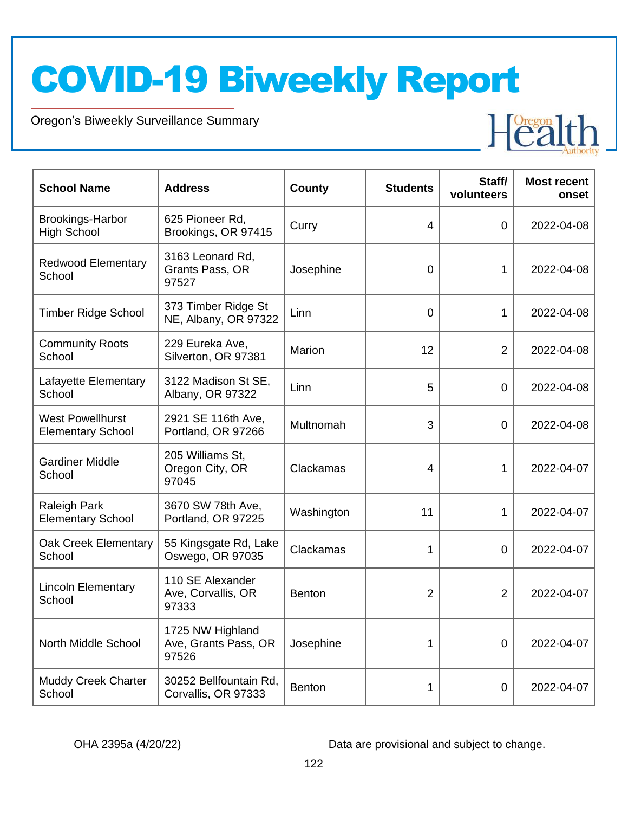Oregon's Biweekly Surveillance Summary

Novel Coronavirus (COVID-19)

| <b>School Name</b>                                  | <b>Address</b>                                    | County        | <b>Students</b> | Staff/<br>volunteers | <b>Most recent</b><br>onset |
|-----------------------------------------------------|---------------------------------------------------|---------------|-----------------|----------------------|-----------------------------|
| <b>Brookings-Harbor</b><br><b>High School</b>       | 625 Pioneer Rd,<br>Brookings, OR 97415            | Curry         | 4               | 0                    | 2022-04-08                  |
| <b>Redwood Elementary</b><br>School                 | 3163 Leonard Rd,<br>Grants Pass, OR<br>97527      | Josephine     | $\mathbf 0$     | 1                    | 2022-04-08                  |
| <b>Timber Ridge School</b>                          | 373 Timber Ridge St<br>NE, Albany, OR 97322       | Linn          | 0               | 1                    | 2022-04-08                  |
| <b>Community Roots</b><br>School                    | 229 Eureka Ave,<br>Silverton, OR 97381            | Marion        | 12              | $\overline{2}$       | 2022-04-08                  |
| Lafayette Elementary<br>School                      | 3122 Madison St SE,<br>Albany, OR 97322           | Linn          | 5               | 0                    | 2022-04-08                  |
| <b>West Powellhurst</b><br><b>Elementary School</b> | 2921 SE 116th Ave,<br>Portland, OR 97266          | Multnomah     | 3               | 0                    | 2022-04-08                  |
| <b>Gardiner Middle</b><br>School                    | 205 Williams St,<br>Oregon City, OR<br>97045      | Clackamas     | 4               | 1                    | 2022-04-07                  |
| Raleigh Park<br><b>Elementary School</b>            | 3670 SW 78th Ave,<br>Portland, OR 97225           | Washington    | 11              | 1                    | 2022-04-07                  |
| Oak Creek Elementary<br>School                      | 55 Kingsgate Rd, Lake<br>Oswego, OR 97035         | Clackamas     | 1               | 0                    | 2022-04-07                  |
| <b>Lincoln Elementary</b><br>School                 | 110 SE Alexander<br>Ave, Corvallis, OR<br>97333   | <b>Benton</b> | 2               | $\overline{2}$       | 2022-04-07                  |
| North Middle School                                 | 1725 NW Highland<br>Ave, Grants Pass, OR<br>97526 | Josephine     | 1               | 0                    | 2022-04-07                  |
| <b>Muddy Creek Charter</b><br>School                | 30252 Bellfountain Rd,<br>Corvallis, OR 97333     | Benton        | 1               | 0                    | 2022-04-07                  |

OHA 2395a (4/20/22) Data are provisional and subject to change.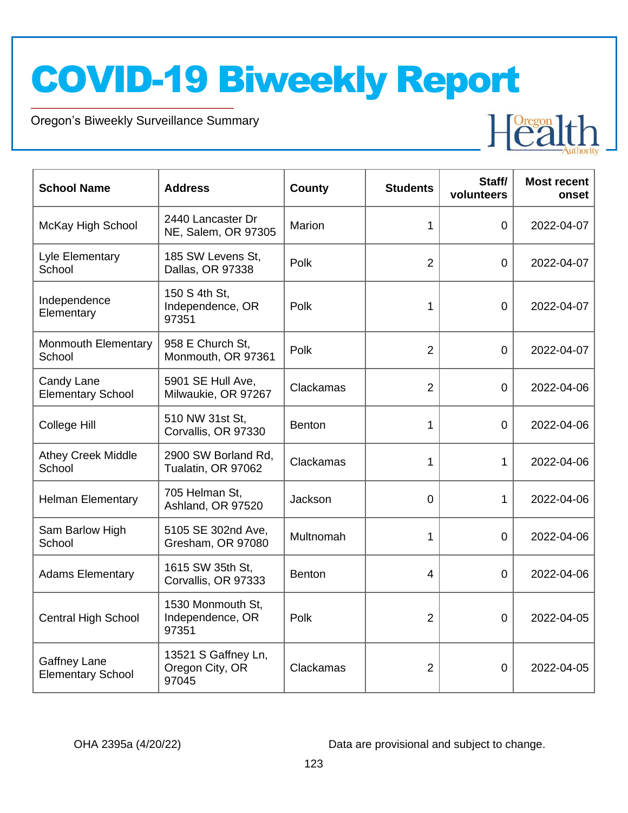Oregon's Biweekly Surveillance Summary

Novel Coronavirus (COVID-19)

| <b>School Name</b>                              | <b>Address</b>                                  | <b>County</b> | <b>Students</b> | Staff/<br>volunteers | <b>Most recent</b><br>onset |
|-------------------------------------------------|-------------------------------------------------|---------------|-----------------|----------------------|-----------------------------|
| McKay High School                               | 2440 Lancaster Dr<br>NE, Salem, OR 97305        | Marion        | 1               | 0                    | 2022-04-07                  |
| Lyle Elementary<br>School                       | 185 SW Levens St,<br>Dallas, OR 97338           | Polk          | $\overline{2}$  | 0                    | 2022-04-07                  |
| Independence<br>Elementary                      | 150 S 4th St.<br>Independence, OR<br>97351      | Polk          | 1               | 0                    | 2022-04-07                  |
| Monmouth Elementary<br>School                   | 958 E Church St,<br>Monmouth, OR 97361          | Polk          | $\overline{2}$  | 0                    | 2022-04-07                  |
| Candy Lane<br><b>Elementary School</b>          | 5901 SE Hull Ave,<br>Milwaukie, OR 97267        | Clackamas     | $\overline{2}$  | 0                    | 2022-04-06                  |
| College Hill                                    | 510 NW 31st St,<br>Corvallis, OR 97330          | Benton        | 1               | 0                    | 2022-04-06                  |
| <b>Athey Creek Middle</b><br>School             | 2900 SW Borland Rd,<br>Tualatin, OR 97062       | Clackamas     | 1               | 1                    | 2022-04-06                  |
| <b>Helman Elementary</b>                        | 705 Helman St,<br>Ashland, OR 97520             | Jackson       | 0               | 1                    | 2022-04-06                  |
| Sam Barlow High<br>School                       | 5105 SE 302nd Ave,<br>Gresham, OR 97080         | Multnomah     | 1               | 0                    | 2022-04-06                  |
| <b>Adams Elementary</b>                         | 1615 SW 35th St,<br>Corvallis, OR 97333         | <b>Benton</b> | 4               | 0                    | 2022-04-06                  |
| <b>Central High School</b>                      | 1530 Monmouth St,<br>Independence, OR<br>97351  | Polk          | $\overline{2}$  | 0                    | 2022-04-05                  |
| <b>Gaffney Lane</b><br><b>Elementary School</b> | 13521 S Gaffney Ln,<br>Oregon City, OR<br>97045 | Clackamas     | $\overline{2}$  | 0                    | 2022-04-05                  |

OHA 2395a (4/20/22) Data are provisional and subject to change.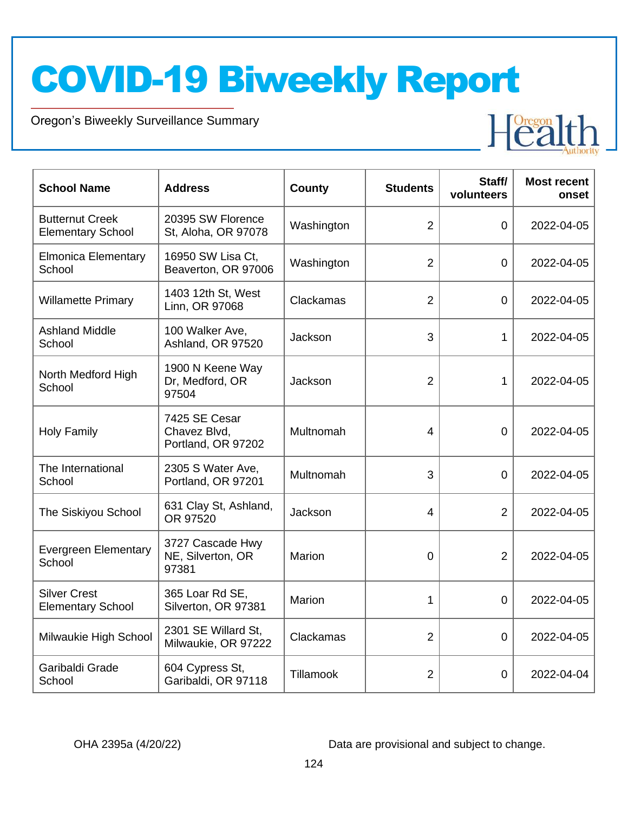Oregon's Biweekly Surveillance Summary

Novel Coronavirus (COVID-19)

| <b>School Name</b>                                 | <b>Address</b>                                      | <b>County</b> | <b>Students</b> | Staff/<br>volunteers | <b>Most recent</b><br>onset |
|----------------------------------------------------|-----------------------------------------------------|---------------|-----------------|----------------------|-----------------------------|
| <b>Butternut Creek</b><br><b>Elementary School</b> | 20395 SW Florence<br>St, Aloha, OR 97078            | Washington    | $\overline{2}$  | 0                    | 2022-04-05                  |
| <b>Elmonica Elementary</b><br>School               | 16950 SW Lisa Ct,<br>Beaverton, OR 97006            | Washington    | $\overline{2}$  | 0                    | 2022-04-05                  |
| <b>Willamette Primary</b>                          | 1403 12th St, West<br>Linn, OR 97068                | Clackamas     | $\overline{2}$  | $\overline{0}$       | 2022-04-05                  |
| <b>Ashland Middle</b><br>School                    | 100 Walker Ave,<br>Ashland, OR 97520                | Jackson       | 3               | 1                    | 2022-04-05                  |
| North Medford High<br>School                       | 1900 N Keene Way<br>Dr, Medford, OR<br>97504        | Jackson       | $\overline{2}$  | 1                    | 2022-04-05                  |
| <b>Holy Family</b>                                 | 7425 SE Cesar<br>Chavez Blvd,<br>Portland, OR 97202 | Multnomah     | 4               | 0                    | 2022-04-05                  |
| The International<br>School                        | 2305 S Water Ave,<br>Portland, OR 97201             | Multnomah     | 3               | 0                    | 2022-04-05                  |
| The Siskiyou School                                | 631 Clay St, Ashland,<br>OR 97520                   | Jackson       | 4               | $\overline{2}$       | 2022-04-05                  |
| <b>Evergreen Elementary</b><br>School              | 3727 Cascade Hwy<br>NE, Silverton, OR<br>97381      | Marion        | $\mathbf 0$     | $\overline{2}$       | 2022-04-05                  |
| <b>Silver Crest</b><br><b>Elementary School</b>    | 365 Loar Rd SE,<br>Silverton, OR 97381              | <b>Marion</b> | 1               | 0                    | 2022-04-05                  |
| Milwaukie High School                              | 2301 SE Willard St,<br>Milwaukie, OR 97222          | Clackamas     | $\overline{2}$  | 0                    | 2022-04-05                  |
| Garibaldi Grade<br>School                          | 604 Cypress St,<br>Garibaldi, OR 97118              | Tillamook     | 2               | $\mathbf 0$          | 2022-04-04                  |

OHA 2395a (4/20/22) Data are provisional and subject to change.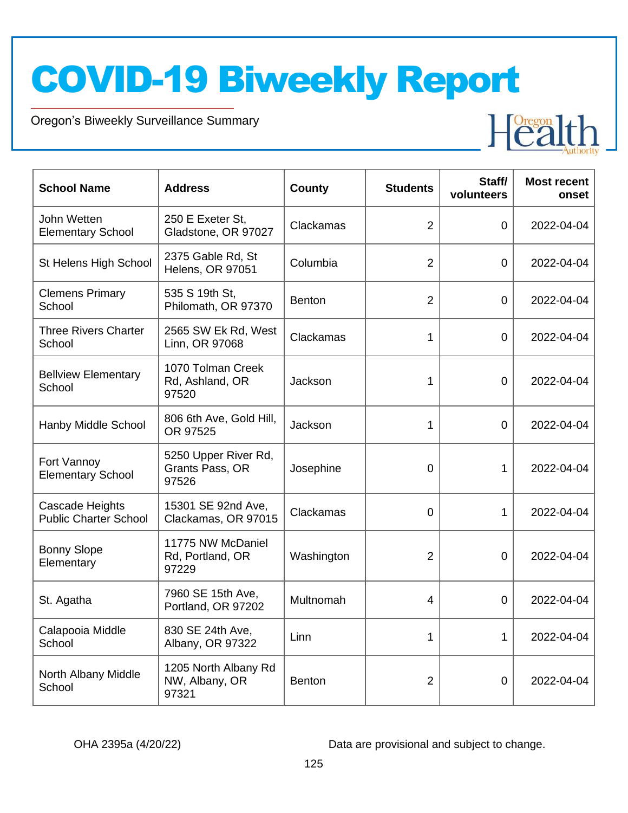Oregon's Biweekly Surveillance Summary

Novel Coronavirus (COVID-19)

| <b>School Name</b>                              | <b>Address</b>                                   | <b>County</b> | <b>Students</b> | Staff/<br>volunteers | <b>Most recent</b><br>onset |
|-------------------------------------------------|--------------------------------------------------|---------------|-----------------|----------------------|-----------------------------|
| John Wetten<br><b>Elementary School</b>         | 250 E Exeter St,<br>Gladstone, OR 97027          | Clackamas     | 2               | $\mathbf 0$          | 2022-04-04                  |
| St Helens High School                           | 2375 Gable Rd, St<br><b>Helens, OR 97051</b>     | Columbia      | $\overline{2}$  | $\overline{0}$       | 2022-04-04                  |
| <b>Clemens Primary</b><br>School                | 535 S 19th St,<br>Philomath, OR 97370            | <b>Benton</b> | 2               | $\overline{0}$       | 2022-04-04                  |
| <b>Three Rivers Charter</b><br>School           | 2565 SW Ek Rd, West<br>Linn, OR 97068            | Clackamas     | 1               | $\overline{0}$       | 2022-04-04                  |
| <b>Bellview Elementary</b><br>School            | 1070 Tolman Creek<br>Rd, Ashland, OR<br>97520    | Jackson       | 1               | $\mathbf 0$          | 2022-04-04                  |
| Hanby Middle School                             | 806 6th Ave, Gold Hill,<br>OR 97525              | Jackson       | 1               | 0                    | 2022-04-04                  |
| Fort Vannoy<br><b>Elementary School</b>         | 5250 Upper River Rd,<br>Grants Pass, OR<br>97526 | Josephine     | 0               | 1                    | 2022-04-04                  |
| Cascade Heights<br><b>Public Charter School</b> | 15301 SE 92nd Ave,<br>Clackamas, OR 97015        | Clackamas     | 0               | 1                    | 2022-04-04                  |
| <b>Bonny Slope</b><br>Elementary                | 11775 NW McDaniel<br>Rd, Portland, OR<br>97229   | Washington    | 2               | $\overline{0}$       | 2022-04-04                  |
| St. Agatha                                      | 7960 SE 15th Ave,<br>Portland, OR 97202          | Multnomah     | 4               | $\overline{0}$       | 2022-04-04                  |
| Calapooia Middle<br>School                      | 830 SE 24th Ave,<br>Albany, OR 97322             | Linn          | 1               | 1                    | 2022-04-04                  |
| North Albany Middle<br>School                   | 1205 North Albany Rd<br>NW, Albany, OR<br>97321  | <b>Benton</b> | $\overline{2}$  | $\mathbf 0$          | 2022-04-04                  |

OHA 2395a (4/20/22) Data are provisional and subject to change.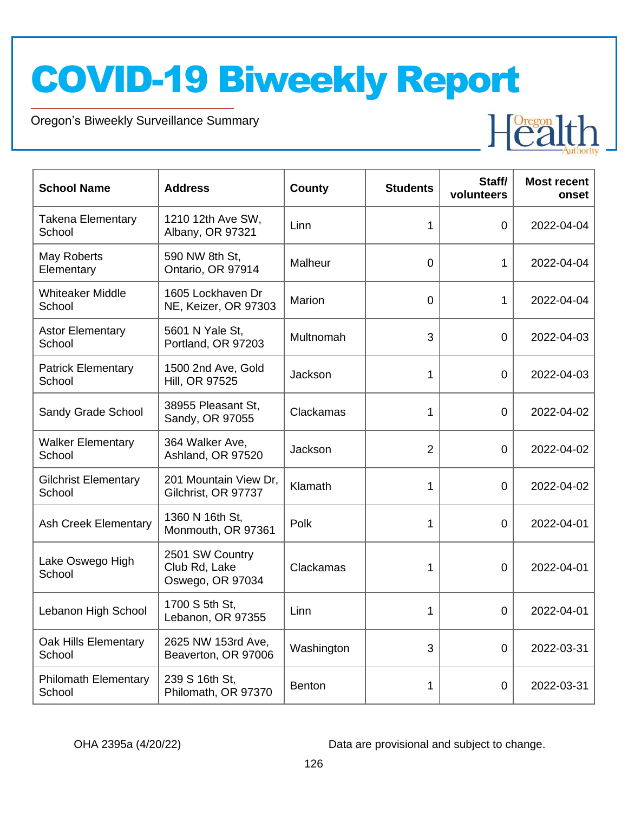Oregon's Biweekly Surveillance Summary

Novel Coronavirus (COVID-19)

| <b>School Name</b>                    | <b>Address</b>                                       | <b>County</b> | <b>Students</b> | Staff/<br>volunteers | <b>Most recent</b><br>onset |
|---------------------------------------|------------------------------------------------------|---------------|-----------------|----------------------|-----------------------------|
| <b>Takena Elementary</b><br>School    | 1210 12th Ave SW,<br>Albany, OR 97321                | Linn          | 1               | $\overline{0}$       | 2022-04-04                  |
| May Roberts<br>Elementary             | 590 NW 8th St,<br>Ontario, OR 97914                  | Malheur       | $\overline{0}$  | 1                    | 2022-04-04                  |
| <b>Whiteaker Middle</b><br>School     | 1605 Lockhaven Dr<br>NE, Keizer, OR 97303            | Marion        | $\overline{0}$  | 1                    | 2022-04-04                  |
| <b>Astor Elementary</b><br>School     | 5601 N Yale St,<br>Portland, OR 97203                | Multnomah     | 3               | 0                    | 2022-04-03                  |
| <b>Patrick Elementary</b><br>School   | 1500 2nd Ave, Gold<br>Hill, OR 97525                 | Jackson       | 1               | 0                    | 2022-04-03                  |
| Sandy Grade School                    | 38955 Pleasant St,<br>Sandy, OR 97055                | Clackamas     | 1               | 0                    | 2022-04-02                  |
| <b>Walker Elementary</b><br>School    | 364 Walker Ave,<br>Ashland, OR 97520                 | Jackson       | $\overline{2}$  | $\overline{0}$       | 2022-04-02                  |
| <b>Gilchrist Elementary</b><br>School | 201 Mountain View Dr,<br>Gilchrist, OR 97737         | Klamath       | 1               | $\Omega$             | 2022-04-02                  |
| <b>Ash Creek Elementary</b>           | 1360 N 16th St,<br>Monmouth, OR 97361                | Polk          | 1               | 0                    | 2022-04-01                  |
| Lake Oswego High<br>School            | 2501 SW Country<br>Club Rd, Lake<br>Oswego, OR 97034 | Clackamas     | 1               | $\Omega$             | 2022-04-01                  |
| Lebanon High School                   | 1700 S 5th St,<br>Lebanon, OR 97355                  | Linn          | 1               | 0                    | 2022-04-01                  |
| Oak Hills Elementary<br>School        | 2625 NW 153rd Ave.<br>Beaverton, OR 97006            | Washington    | 3               | 0                    | 2022-03-31                  |
| <b>Philomath Elementary</b><br>School | 239 S 16th St,<br>Philomath, OR 97370                | <b>Benton</b> | 1               | 0                    | 2022-03-31                  |

OHA 2395a (4/20/22) Data are provisional and subject to change.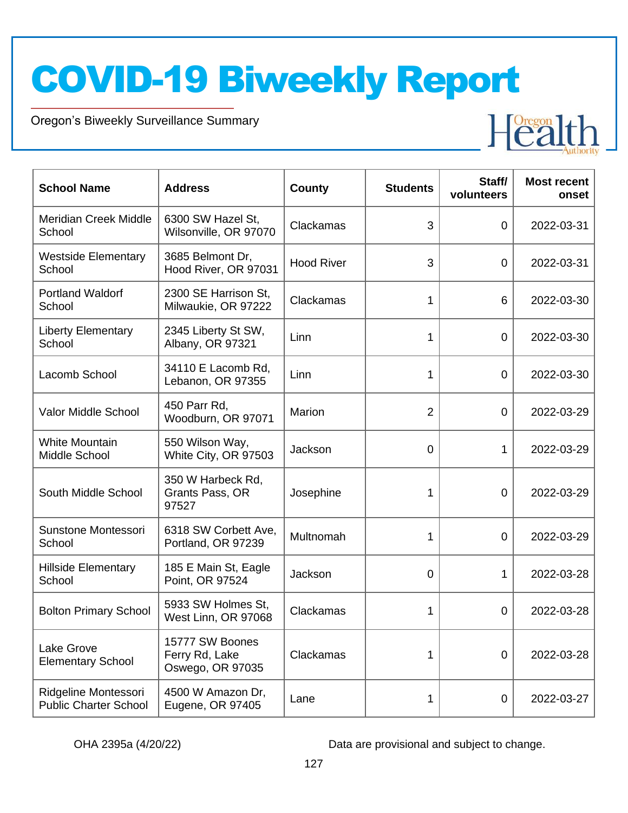Oregon's Biweekly Surveillance Summary

Novel Coronavirus (COVID-19)

| <b>School Name</b>                                   | <b>Address</b>                                        | County            | <b>Students</b> | Staff/<br>volunteers | <b>Most recent</b><br>onset |
|------------------------------------------------------|-------------------------------------------------------|-------------------|-----------------|----------------------|-----------------------------|
| <b>Meridian Creek Middle</b><br>School               | 6300 SW Hazel St,<br>Wilsonville, OR 97070            | Clackamas         | 3               | 0                    | 2022-03-31                  |
| <b>Westside Elementary</b><br>School                 | 3685 Belmont Dr,<br>Hood River, OR 97031              | <b>Hood River</b> | 3               | 0                    | 2022-03-31                  |
| <b>Portland Waldorf</b><br>School                    | 2300 SE Harrison St,<br>Milwaukie, OR 97222           | Clackamas         | 1               | 6                    | 2022-03-30                  |
| <b>Liberty Elementary</b><br>School                  | 2345 Liberty St SW,<br>Albany, OR 97321               | Linn              | 1               | 0                    | 2022-03-30                  |
| Lacomb School                                        | 34110 E Lacomb Rd,<br>Lebanon, OR 97355               | Linn              | 1               | 0                    | 2022-03-30                  |
| Valor Middle School                                  | 450 Parr Rd,<br>Woodburn, OR 97071                    | Marion            | 2               | 0                    | 2022-03-29                  |
| <b>White Mountain</b><br>Middle School               | 550 Wilson Way,<br>White City, OR 97503               | Jackson           | 0               | 1                    | 2022-03-29                  |
| South Middle School                                  | 350 W Harbeck Rd,<br>Grants Pass, OR<br>97527         | Josephine         | 1               | 0                    | 2022-03-29                  |
| Sunstone Montessori<br>School                        | 6318 SW Corbett Ave,<br>Portland, OR 97239            | Multnomah         | 1               | 0                    | 2022-03-29                  |
| <b>Hillside Elementary</b><br>School                 | 185 E Main St, Eagle<br>Point, OR 97524               | Jackson           | $\overline{0}$  | 1                    | 2022-03-28                  |
| <b>Bolton Primary School</b>                         | 5933 SW Holmes St,<br>West Linn, OR 97068             | Clackamas         | 1               | 0                    | 2022-03-28                  |
| Lake Grove<br><b>Elementary School</b>               | 15777 SW Boones<br>Ferry Rd, Lake<br>Oswego, OR 97035 | Clackamas         | 1               | 0                    | 2022-03-28                  |
| Ridgeline Montessori<br><b>Public Charter School</b> | 4500 W Amazon Dr,<br>Eugene, OR 97405                 | Lane              | $\mathbf 1$     | 0                    | 2022-03-27                  |

OHA 2395a (4/20/22) Data are provisional and subject to change.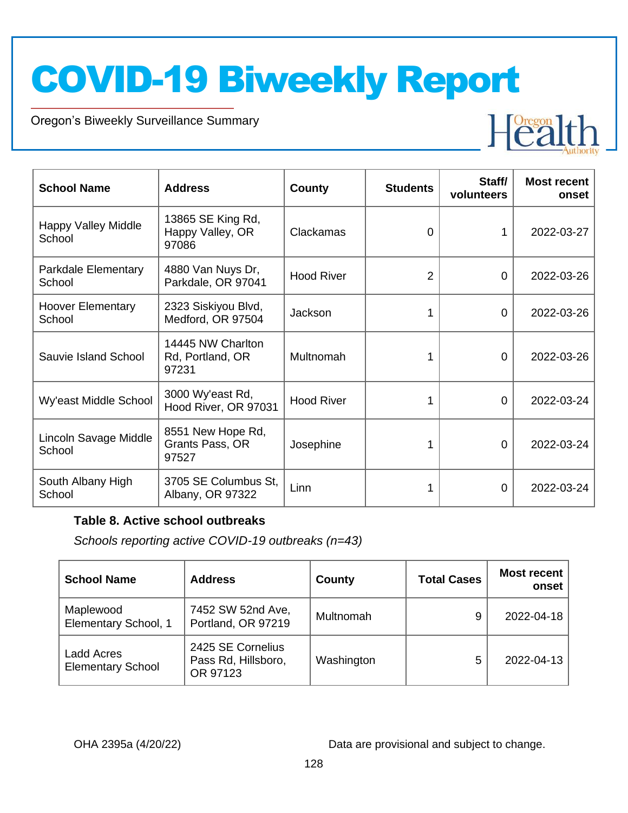Oregon's Biweekly Surveillance Summary

Novel Coronavirus (COVID-19)



| <b>School Name</b>                   | <b>Address</b>                                 | County            | <b>Students</b> | Staff/<br>volunteers | <b>Most recent</b><br>onset |
|--------------------------------------|------------------------------------------------|-------------------|-----------------|----------------------|-----------------------------|
| <b>Happy Valley Middle</b><br>School | 13865 SE King Rd,<br>Happy Valley, OR<br>97086 | Clackamas         | $\Omega$        | 1                    | 2022-03-27                  |
| Parkdale Elementary<br>School        | 4880 Van Nuys Dr,<br>Parkdale, OR 97041        | <b>Hood River</b> | 2               | 0                    | 2022-03-26                  |
| <b>Hoover Elementary</b><br>School   | 2323 Siskiyou Blvd,<br>Medford, OR 97504       | Jackson           |                 | 0                    | 2022-03-26                  |
| Sauvie Island School                 | 14445 NW Charlton<br>Rd, Portland, OR<br>97231 | Multnomah         |                 | 0                    | 2022-03-26                  |
| Wy'east Middle School                | 3000 Wy'east Rd,<br>Hood River, OR 97031       | <b>Hood River</b> |                 | 0                    | 2022-03-24                  |
| Lincoln Savage Middle<br>School      | 8551 New Hope Rd,<br>Grants Pass, OR<br>97527  | Josephine         |                 | 0                    | 2022-03-24                  |
| South Albany High<br>School          | 3705 SE Columbus St,<br>Albany, OR 97322       | Linn              |                 | 0                    | 2022-03-24                  |

#### **Table 8. Active school outbreaks**

*Schools reporting active COVID-19 outbreaks (n=43)*

| <b>School Name</b>                     | <b>Address</b>                                       | County     | <b>Total Cases</b> | <b>Most recent</b><br>onset |
|----------------------------------------|------------------------------------------------------|------------|--------------------|-----------------------------|
| Maplewood<br>Elementary School, 1      | 7452 SW 52nd Ave,<br>Portland, OR 97219              | Multnomah  | 9                  | 2022-04-18                  |
| Ladd Acres<br><b>Elementary School</b> | 2425 SE Cornelius<br>Pass Rd, Hillsboro,<br>OR 97123 | Washington | 5                  | 2022-04-13                  |

OHA 2395a (4/20/22) Data are provisional and subject to change.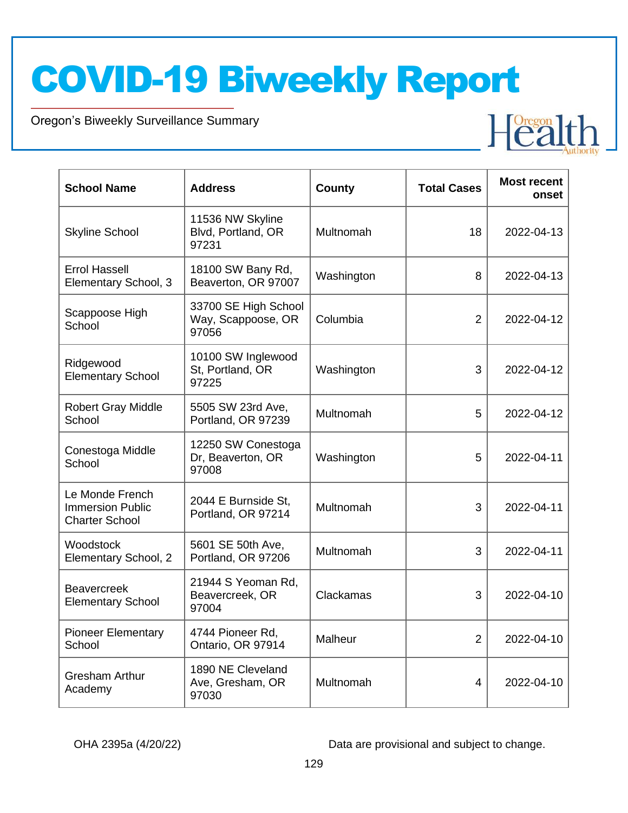Oregon's Biweekly Surveillance Summary

Novel Coronavirus (COVID-19)

| <b>School Name</b>                                                  | <b>Address</b>                                      | County     | <b>Total Cases</b> | <b>Most recent</b><br>onset |
|---------------------------------------------------------------------|-----------------------------------------------------|------------|--------------------|-----------------------------|
| <b>Skyline School</b>                                               | 11536 NW Skyline<br>Blvd, Portland, OR<br>97231     | Multnomah  | 18                 | 2022-04-13                  |
| <b>Errol Hassell</b><br>Elementary School, 3                        | 18100 SW Bany Rd,<br>Beaverton, OR 97007            | Washington | 8                  | 2022-04-13                  |
| Scappoose High<br>School                                            | 33700 SE High School<br>Way, Scappoose, OR<br>97056 | Columbia   | $\overline{2}$     | 2022-04-12                  |
| Ridgewood<br><b>Elementary School</b>                               | 10100 SW Inglewood<br>St, Portland, OR<br>97225     | Washington | 3                  | 2022-04-12                  |
| <b>Robert Gray Middle</b><br>School                                 | 5505 SW 23rd Ave,<br>Portland, OR 97239             | Multnomah  | 5                  | 2022-04-12                  |
| Conestoga Middle<br>School                                          | 12250 SW Conestoga<br>Dr, Beaverton, OR<br>97008    | Washington | 5                  | 2022-04-11                  |
| Le Monde French<br><b>Immersion Public</b><br><b>Charter School</b> | 2044 E Burnside St,<br>Portland, OR 97214           | Multnomah  | 3                  | 2022-04-11                  |
| Woodstock<br>Elementary School, 2                                   | 5601 SE 50th Ave,<br>Portland, OR 97206             | Multnomah  | 3                  | 2022-04-11                  |
| <b>Beavercreek</b><br><b>Elementary School</b>                      | 21944 S Yeoman Rd,<br>Beavercreek, OR<br>97004      | Clackamas  | 3                  | 2022-04-10                  |
| <b>Pioneer Elementary</b><br>School                                 | 4744 Pioneer Rd,<br>Ontario, OR 97914               | Malheur    | $\overline{2}$     | 2022-04-10                  |
| <b>Gresham Arthur</b><br>Academy                                    | 1890 NE Cleveland<br>Ave, Gresham, OR<br>97030      | Multnomah  | 4                  | 2022-04-10                  |

OHA 2395a (4/20/22) Data are provisional and subject to change.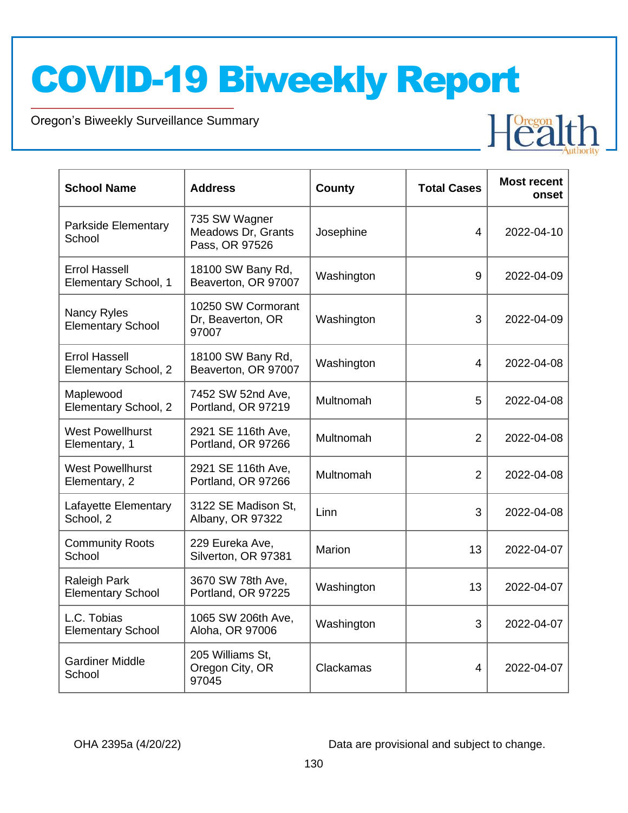Oregon's Biweekly Surveillance Summary

Novel Coronavirus (COVID-19)

| <b>School Name</b>                           | <b>Address</b>                                        | <b>County</b> | <b>Total Cases</b> | <b>Most recent</b><br>onset |
|----------------------------------------------|-------------------------------------------------------|---------------|--------------------|-----------------------------|
| Parkside Elementary<br>School                | 735 SW Wagner<br>Meadows Dr, Grants<br>Pass, OR 97526 | Josephine     | 4                  | 2022-04-10                  |
| <b>Errol Hassell</b><br>Elementary School, 1 | 18100 SW Bany Rd,<br>Beaverton, OR 97007              | Washington    | 9                  | 2022-04-09                  |
| Nancy Ryles<br><b>Elementary School</b>      | 10250 SW Cormorant<br>Dr, Beaverton, OR<br>97007      | Washington    | 3                  | 2022-04-09                  |
| <b>Errol Hassell</b><br>Elementary School, 2 | 18100 SW Bany Rd,<br>Beaverton, OR 97007              | Washington    | 4                  | 2022-04-08                  |
| Maplewood<br>Elementary School, 2            | 7452 SW 52nd Ave,<br>Portland, OR 97219               | Multnomah     | 5                  | 2022-04-08                  |
| <b>West Powellhurst</b><br>Elementary, 1     | 2921 SE 116th Ave,<br>Portland, OR 97266              | Multnomah     | $\overline{2}$     | 2022-04-08                  |
| <b>West Powellhurst</b><br>Elementary, 2     | 2921 SE 116th Ave,<br>Portland, OR 97266              | Multnomah     | $\overline{2}$     | 2022-04-08                  |
| Lafayette Elementary<br>School, 2            | 3122 SE Madison St,<br>Albany, OR 97322               | Linn          | 3                  | 2022-04-08                  |
| <b>Community Roots</b><br>School             | 229 Eureka Ave,<br>Silverton, OR 97381                | Marion        | 13                 | 2022-04-07                  |
| Raleigh Park<br><b>Elementary School</b>     | 3670 SW 78th Ave,<br>Portland, OR 97225               | Washington    | 13                 | 2022-04-07                  |
| L.C. Tobias<br><b>Elementary School</b>      | 1065 SW 206th Ave,<br>Aloha, OR 97006                 | Washington    | 3                  | 2022-04-07                  |
| <b>Gardiner Middle</b><br>School             | 205 Williams St,<br>Oregon City, OR<br>97045          | Clackamas     | 4                  | 2022-04-07                  |

OHA 2395a (4/20/22) Data are provisional and subject to change.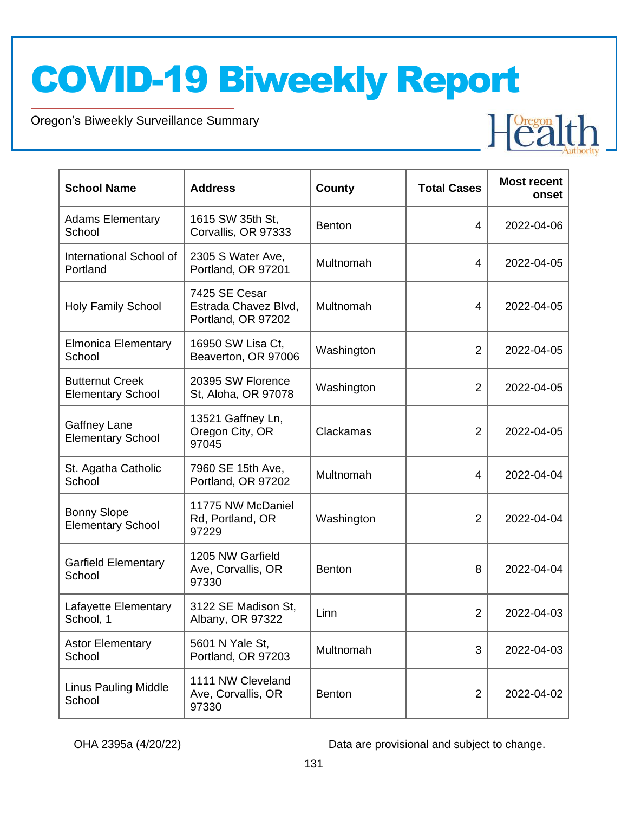Oregon's Biweekly Surveillance Summary

Novel Coronavirus (COVID-19)

| <b>School Name</b>                                 | <b>Address</b>                                              | <b>County</b> | <b>Total Cases</b> | <b>Most recent</b><br>onset |
|----------------------------------------------------|-------------------------------------------------------------|---------------|--------------------|-----------------------------|
| <b>Adams Elementary</b><br>School                  | 1615 SW 35th St,<br>Corvallis, OR 97333                     | <b>Benton</b> | 4                  | 2022-04-06                  |
| International School of<br>Portland                | 2305 S Water Ave,<br>Portland, OR 97201                     | Multnomah     | 4                  | 2022-04-05                  |
| <b>Holy Family School</b>                          | 7425 SE Cesar<br>Estrada Chavez Blvd,<br>Portland, OR 97202 | Multnomah     | 4                  | 2022-04-05                  |
| <b>Elmonica Elementary</b><br>School               | 16950 SW Lisa Ct,<br>Beaverton, OR 97006                    | Washington    | $\overline{2}$     | 2022-04-05                  |
| <b>Butternut Creek</b><br><b>Elementary School</b> | 20395 SW Florence<br>St, Aloha, OR 97078                    | Washington    | $\overline{2}$     | 2022-04-05                  |
| Gaffney Lane<br><b>Elementary School</b>           | 13521 Gaffney Ln,<br>Oregon City, OR<br>97045               | Clackamas     | $\overline{2}$     | 2022-04-05                  |
| St. Agatha Catholic<br>School                      | 7960 SE 15th Ave,<br>Portland, OR 97202                     | Multnomah     | 4                  | 2022-04-04                  |
| <b>Bonny Slope</b><br><b>Elementary School</b>     | 11775 NW McDaniel<br>Rd, Portland, OR<br>97229              | Washington    | $\overline{2}$     | 2022-04-04                  |
| <b>Garfield Elementary</b><br>School               | 1205 NW Garfield<br>Ave, Corvallis, OR<br>97330             | <b>Benton</b> | 8                  | 2022-04-04                  |
| Lafayette Elementary<br>School, 1                  | 3122 SE Madison St,<br>Albany, OR 97322                     | Linn          | $\overline{2}$     | 2022-04-03                  |
| <b>Astor Elementary</b><br>School                  | 5601 N Yale St,<br>Portland, OR 97203                       | Multnomah     | 3                  | 2022-04-03                  |
| <b>Linus Pauling Middle</b><br>School              | 1111 NW Cleveland<br>Ave, Corvallis, OR<br>97330            | <b>Benton</b> | $\overline{2}$     | 2022-04-02                  |

OHA 2395a (4/20/22) Data are provisional and subject to change.